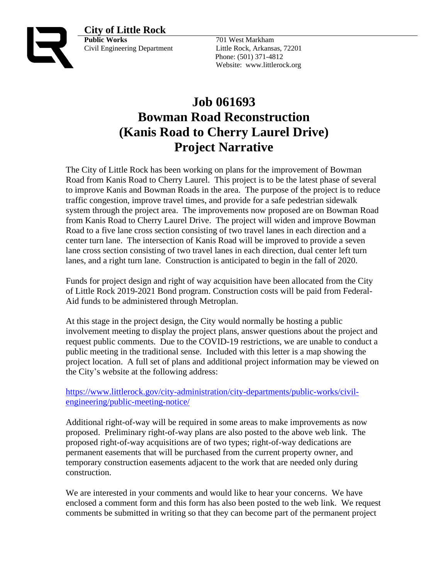



**Public Works** 701 West Markham Civil Engineering Department Little Rock, Arkansas, 72201

 Phone: (501) 371-4812 Website: www.littlerock.org

## **Job 061693 Bowman Road Reconstruction (Kanis Road to Cherry Laurel Drive) Project Narrative**

The City of Little Rock has been working on plans for the improvement of Bowman Road from Kanis Road to Cherry Laurel. This project is to be the latest phase of several to improve Kanis and Bowman Roads in the area. The purpose of the project is to reduce traffic congestion, improve travel times, and provide for a safe pedestrian sidewalk system through the project area. The improvements now proposed are on Bowman Road from Kanis Road to Cherry Laurel Drive. The project will widen and improve Bowman Road to a five lane cross section consisting of two travel lanes in each direction and a center turn lane. The intersection of Kanis Road will be improved to provide a seven lane cross section consisting of two travel lanes in each direction, dual center left turn lanes, and a right turn lane. Construction is anticipated to begin in the fall of 2020.

Funds for project design and right of way acquisition have been allocated from the City of Little Rock 2019-2021 Bond program. Construction costs will be paid from Federal-Aid funds to be administered through Metroplan.

At this stage in the project design, the City would normally be hosting a public involvement meeting to display the project plans, answer questions about the project and request public comments. Due to the COVID-19 restrictions, we are unable to conduct a public meeting in the traditional sense. Included with this letter is a map showing the project location. A full set of plans and additional project information may be viewed on the City's website at the following address:

[https://www.littlerock.gov/city-administration/city-departments/public-works/civil](https://www.littlerock.gov/city-administration/city-departments/public-works/civil-engineering/public-meeting-notice/)[engineering/public-meeting-notice/](https://www.littlerock.gov/city-administration/city-departments/public-works/civil-engineering/public-meeting-notice/)

Additional right-of-way will be required in some areas to make improvements as now proposed. Preliminary right-of-way plans are also posted to the above web link. The proposed right-of-way acquisitions are of two types; right-of-way dedications are permanent easements that will be purchased from the current property owner, and temporary construction easements adjacent to the work that are needed only during construction.

We are interested in your comments and would like to hear your concerns. We have enclosed a comment form and this form has also been posted to the web link. We request comments be submitted in writing so that they can become part of the permanent project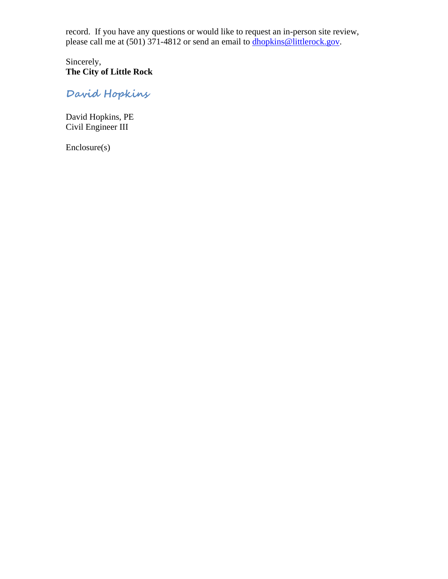record. If you have any questions or would like to request an in-person site review, please call me at (501) 371-4812 or send an email to dhopkins@littlerock.gov.

Sincerely, **The City of Little Rock**

**David Hopkins**

David Hopkins, PE Civil Engineer III

Enclosure(s)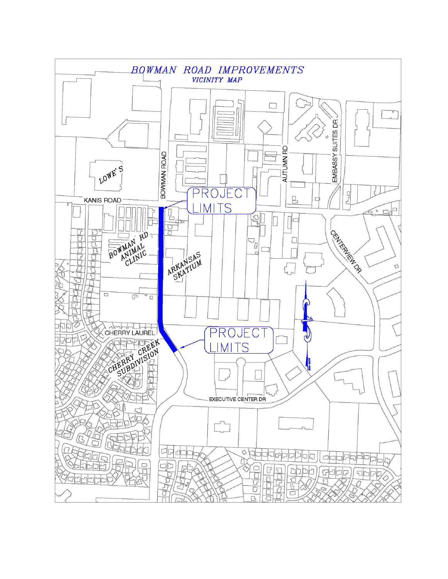